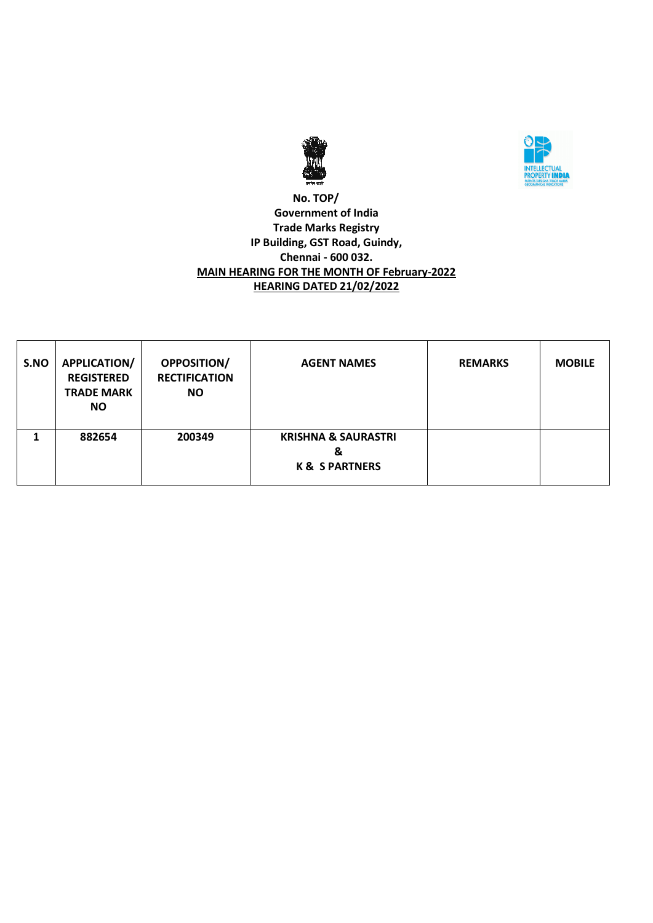



### **No. TOP/ Government of India Trade Marks Registry IP Building, GST Road, Guindy, Chennai - 600 032. MAIN HEARING FOR THE MONTH OF February-2022 HEARING DATED 21/02/2022**

| S.NO | APPLICATION/<br><b>REGISTERED</b><br><b>TRADE MARK</b><br><b>NO</b> | <b>OPPOSITION/</b><br><b>RECTIFICATION</b><br><b>NO</b> | <b>AGENT NAMES</b>                                               | <b>REMARKS</b> | <b>MOBILE</b> |
|------|---------------------------------------------------------------------|---------------------------------------------------------|------------------------------------------------------------------|----------------|---------------|
|      | 882654                                                              | 200349                                                  | <b>KRISHNA &amp; SAURASTRI</b><br>&<br><b>K &amp; S PARTNERS</b> |                |               |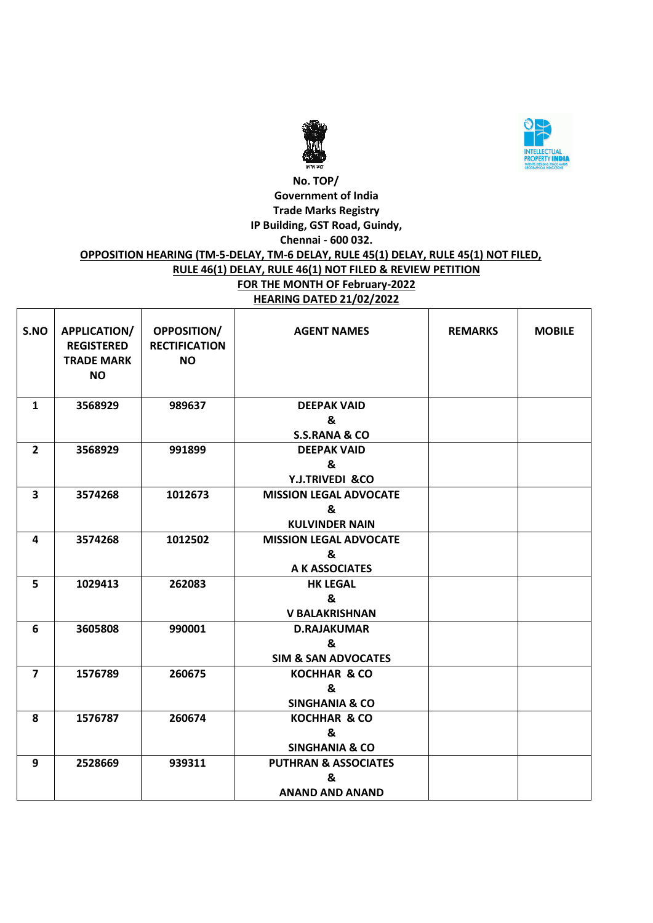



## **No. TOP/ Government of India Trade Marks Registry IP Building, GST Road, Guindy, Chennai - 600 032. OPPOSITION HEARING (TM-5-DELAY, TM-6 DELAY, RULE 45(1) DELAY, RULE 45(1) NOT FILED, RULE 46(1) DELAY, RULE 46(1) NOT FILED & REVIEW PETITION FOR THE MONTH OF February-2022 HEARING DATED 21/02/2022**

| S.NO                    | APPLICATION/<br><b>REGISTERED</b><br><b>TRADE MARK</b><br><b>NO</b> | <b>OPPOSITION/</b><br><b>RECTIFICATION</b><br><b>NO</b> | <b>AGENT NAMES</b>                                             | <b>REMARKS</b> | <b>MOBILE</b> |
|-------------------------|---------------------------------------------------------------------|---------------------------------------------------------|----------------------------------------------------------------|----------------|---------------|
| $\mathbf{1}$            | 3568929                                                             | 989637                                                  | <b>DEEPAK VAID</b><br>&<br><b>S.S.RANA &amp; CO</b>            |                |               |
| $\mathbf{2}$            | 3568929                                                             | 991899                                                  | <b>DEEPAK VAID</b><br>&<br>Y.J.TRIVEDI &CO                     |                |               |
| $\overline{\mathbf{3}}$ | 3574268                                                             | 1012673                                                 | <b>MISSION LEGAL ADVOCATE</b><br>&<br><b>KULVINDER NAIN</b>    |                |               |
| 4                       | 3574268                                                             | 1012502                                                 | <b>MISSION LEGAL ADVOCATE</b><br>&<br>A K ASSOCIATES           |                |               |
| 5                       | 1029413                                                             | 262083                                                  | <b>HK LEGAL</b><br>&<br><b>V BALAKRISHNAN</b>                  |                |               |
| 6                       | 3605808                                                             | 990001                                                  | <b>D.RAJAKUMAR</b><br>&<br><b>SIM &amp; SAN ADVOCATES</b>      |                |               |
| $\overline{7}$          | 1576789                                                             | 260675                                                  | <b>KOCHHAR &amp; CO</b><br>&<br><b>SINGHANIA &amp; CO</b>      |                |               |
| 8                       | 1576787                                                             | 260674                                                  | <b>KOCHHAR &amp; CO</b><br>&<br><b>SINGHANIA &amp; CO</b>      |                |               |
| 9                       | 2528669                                                             | 939311                                                  | <b>PUTHRAN &amp; ASSOCIATES</b><br>&<br><b>ANAND AND ANAND</b> |                |               |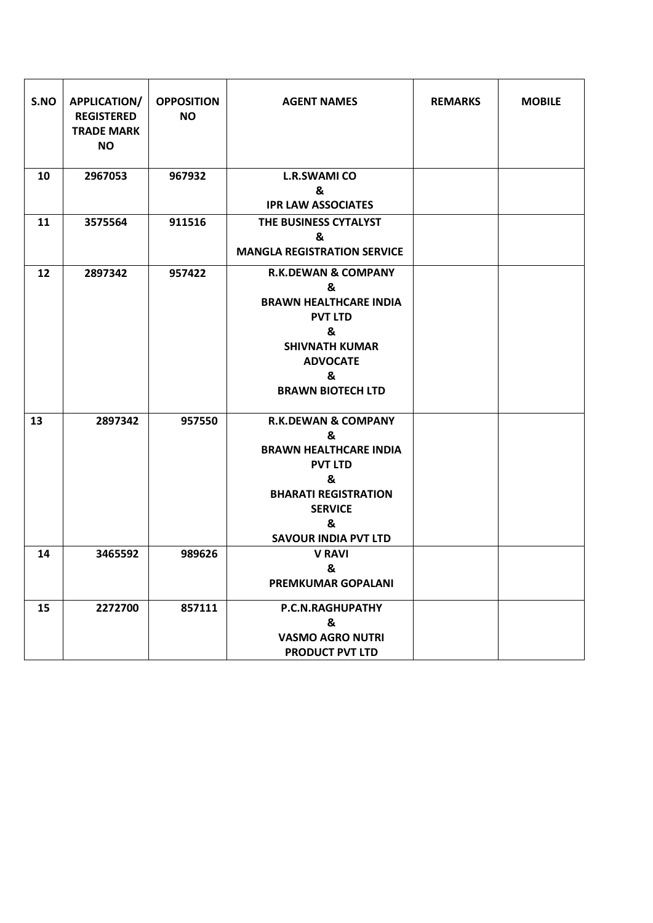| S.NO | <b>APPLICATION/</b><br><b>REGISTERED</b><br><b>TRADE MARK</b><br><b>NO</b> | <b>OPPOSITION</b><br><b>NO</b> | <b>AGENT NAMES</b>                                    | <b>REMARKS</b> | <b>MOBILE</b> |
|------|----------------------------------------------------------------------------|--------------------------------|-------------------------------------------------------|----------------|---------------|
| 10   | 2967053                                                                    | 967932                         | <b>L.R.SWAMI CO</b><br>&<br><b>IPR LAW ASSOCIATES</b> |                |               |
|      |                                                                            |                                |                                                       |                |               |
| 11   | 3575564                                                                    | 911516                         | THE BUSINESS CYTALYST<br>&                            |                |               |
|      |                                                                            |                                | <b>MANGLA REGISTRATION SERVICE</b>                    |                |               |
| 12   | 2897342                                                                    | 957422                         | <b>R.K.DEWAN &amp; COMPANY</b>                        |                |               |
|      |                                                                            |                                | &                                                     |                |               |
|      |                                                                            |                                | <b>BRAWN HEALTHCARE INDIA</b>                         |                |               |
|      |                                                                            |                                | <b>PVT LTD</b>                                        |                |               |
|      |                                                                            |                                | &<br><b>SHIVNATH KUMAR</b>                            |                |               |
|      |                                                                            |                                | <b>ADVOCATE</b>                                       |                |               |
|      |                                                                            |                                | &                                                     |                |               |
|      |                                                                            |                                | <b>BRAWN BIOTECH LTD</b>                              |                |               |
|      |                                                                            |                                |                                                       |                |               |
| 13   | 2897342                                                                    | 957550                         | <b>R.K.DEWAN &amp; COMPANY</b>                        |                |               |
|      |                                                                            |                                | &                                                     |                |               |
|      |                                                                            |                                | <b>BRAWN HEALTHCARE INDIA</b>                         |                |               |
|      |                                                                            |                                | <b>PVT LTD</b>                                        |                |               |
|      |                                                                            |                                | &                                                     |                |               |
|      |                                                                            |                                | <b>BHARATI REGISTRATION</b>                           |                |               |
|      |                                                                            |                                | <b>SERVICE</b><br>&                                   |                |               |
|      |                                                                            |                                | <b>SAVOUR INDIA PVT LTD</b>                           |                |               |
| 14   | 3465592                                                                    | 989626                         | <b>V RAVI</b>                                         |                |               |
|      |                                                                            |                                | &                                                     |                |               |
|      |                                                                            |                                | <b>PREMKUMAR GOPALANI</b>                             |                |               |
| 15   | 2272700                                                                    | 857111                         | P.C.N.RAGHUPATHY                                      |                |               |
|      |                                                                            |                                | &                                                     |                |               |
|      |                                                                            |                                | <b>VASMO AGRO NUTRI</b>                               |                |               |
|      |                                                                            |                                | <b>PRODUCT PVT LTD</b>                                |                |               |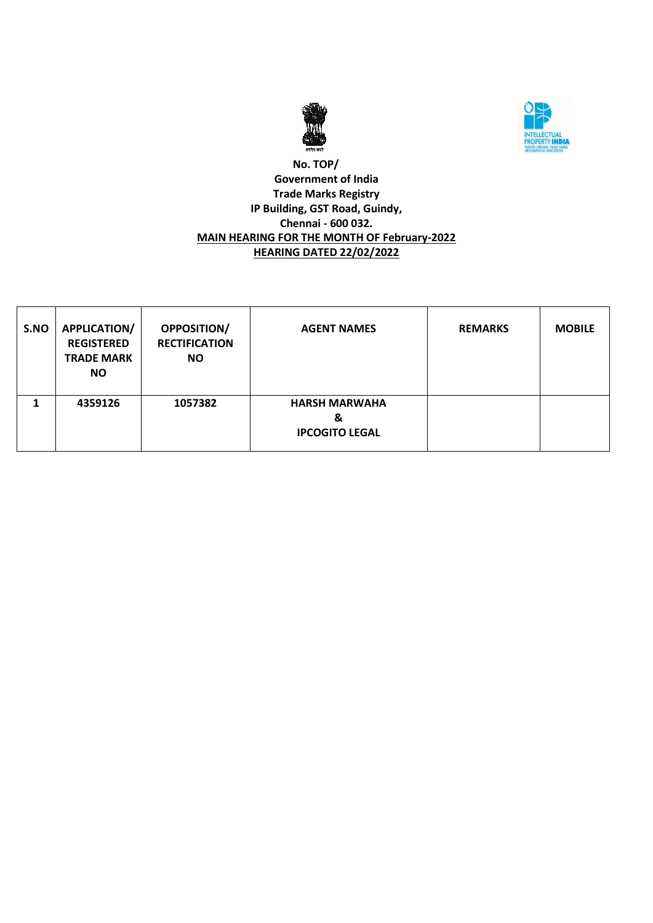



### **No. TOP/ Government of India Trade Marks Registry IP Building, GST Road, Guindy, Chennai - 600 032. MAIN HEARING FOR THE MONTH OF February-2022 HEARING DATED 22/02/2022**

| S.NO | <b>APPLICATION/</b><br><b>REGISTERED</b><br><b>TRADE MARK</b><br><b>NO</b> | <b>OPPOSITION/</b><br><b>RECTIFICATION</b><br><b>NO</b> | <b>AGENT NAMES</b>                                 | <b>REMARKS</b> | <b>MOBILE</b> |
|------|----------------------------------------------------------------------------|---------------------------------------------------------|----------------------------------------------------|----------------|---------------|
|      | 4359126                                                                    | 1057382                                                 | <b>HARSH MARWAHA</b><br>&<br><b>IPCOGITO LEGAL</b> |                |               |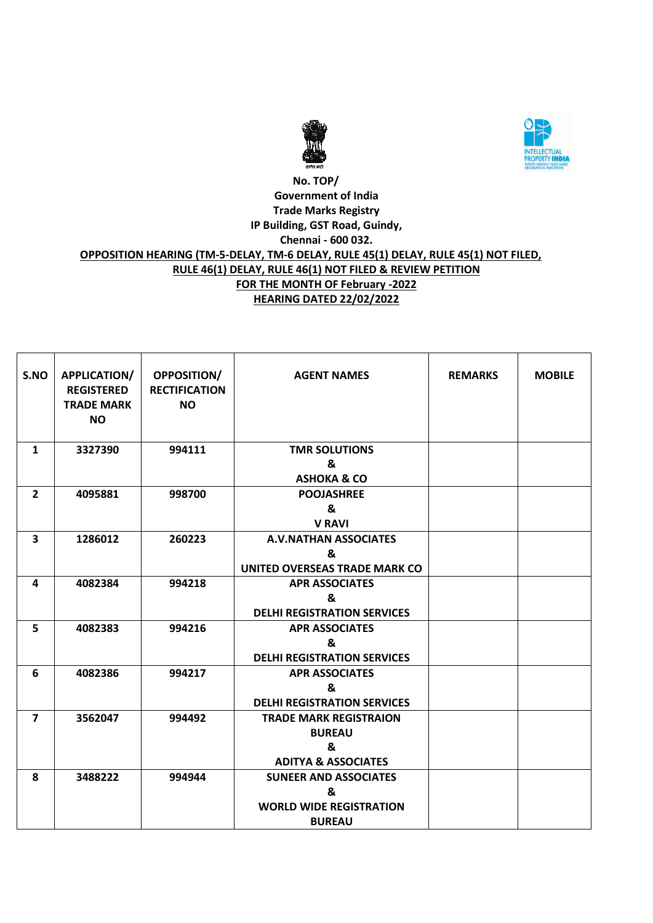



### **No. TOP/ Government of India Trade Marks Registry IP Building, GST Road, Guindy, Chennai - 600 032. OPPOSITION HEARING (TM-5-DELAY, TM-6 DELAY, RULE 45(1) DELAY, RULE 45(1) NOT FILED, RULE 46(1) DELAY, RULE 46(1) NOT FILED & REVIEW PETITION FOR THE MONTH OF February -2022 HEARING DATED 22/02/2022**

| S.NO           | APPLICATION/<br><b>REGISTERED</b><br><b>TRADE MARK</b><br><b>NO</b> | <b>OPPOSITION/</b><br><b>RECTIFICATION</b><br><b>NO</b> | <b>AGENT NAMES</b>                                                                    | <b>REMARKS</b> | <b>MOBILE</b> |
|----------------|---------------------------------------------------------------------|---------------------------------------------------------|---------------------------------------------------------------------------------------|----------------|---------------|
| $\mathbf{1}$   | 3327390                                                             | 994111                                                  | <b>TMR SOLUTIONS</b><br>&<br><b>ASHOKA &amp; CO</b>                                   |                |               |
| $\overline{2}$ | 4095881                                                             | 998700                                                  | <b>POOJASHREE</b><br>&<br><b>V RAVI</b>                                               |                |               |
| 3              | 1286012                                                             | 260223                                                  | <b>A.V.NATHAN ASSOCIATES</b><br>&<br>UNITED OVERSEAS TRADE MARK CO                    |                |               |
| 4              | 4082384                                                             | 994218                                                  | <b>APR ASSOCIATES</b><br>&<br><b>DELHI REGISTRATION SERVICES</b>                      |                |               |
| 5              | 4082383                                                             | 994216                                                  | <b>APR ASSOCIATES</b><br>&<br><b>DELHI REGISTRATION SERVICES</b>                      |                |               |
| 6              | 4082386                                                             | 994217                                                  | <b>APR ASSOCIATES</b><br>&<br><b>DELHI REGISTRATION SERVICES</b>                      |                |               |
| $\overline{7}$ | 3562047                                                             | 994492                                                  | <b>TRADE MARK REGISTRAION</b><br><b>BUREAU</b><br>&<br><b>ADITYA &amp; ASSOCIATES</b> |                |               |
| 8              | 3488222                                                             | 994944                                                  | <b>SUNEER AND ASSOCIATES</b><br>&<br><b>WORLD WIDE REGISTRATION</b><br><b>BUREAU</b>  |                |               |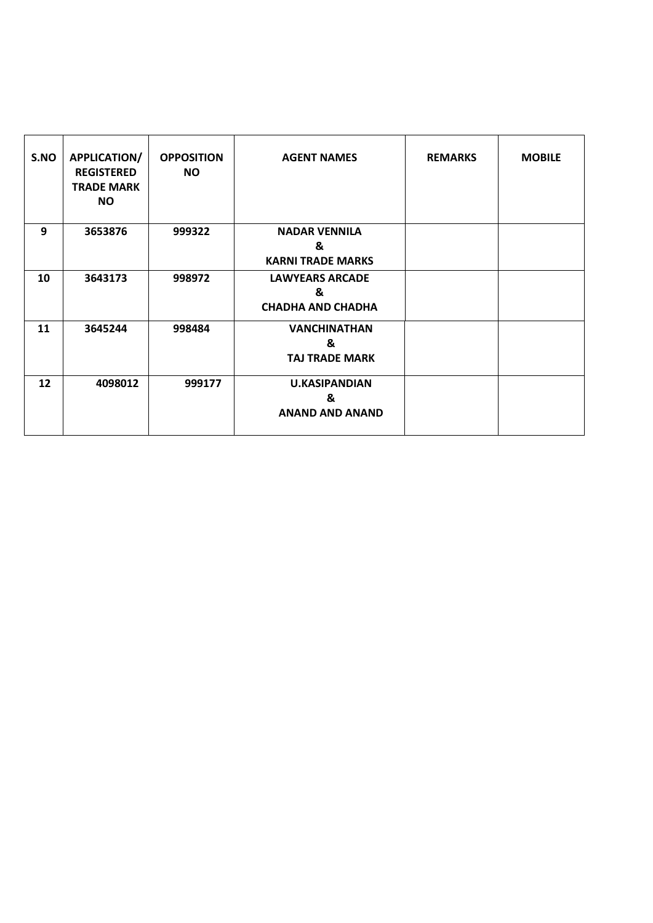| S.NO | <b>APPLICATION/</b><br><b>REGISTERED</b><br><b>TRADE MARK</b><br><b>NO</b> | <b>OPPOSITION</b><br><b>NO</b> | <b>AGENT NAMES</b>                                      | <b>REMARKS</b> | <b>MOBILE</b> |
|------|----------------------------------------------------------------------------|--------------------------------|---------------------------------------------------------|----------------|---------------|
| 9    | 3653876                                                                    | 999322                         | <b>NADAR VENNILA</b><br>&<br><b>KARNI TRADE MARKS</b>   |                |               |
| 10   | 3643173                                                                    | 998972                         | <b>LAWYEARS ARCADE</b><br>&<br><b>CHADHA AND CHADHA</b> |                |               |
| 11   | 3645244                                                                    | 998484                         | <b>VANCHINATHAN</b><br>&<br><b>TAJ TRADE MARK</b>       |                |               |
| 12   | 4098012                                                                    | 999177                         | <b>U.KASIPANDIAN</b><br>&<br><b>ANAND AND ANAND</b>     |                |               |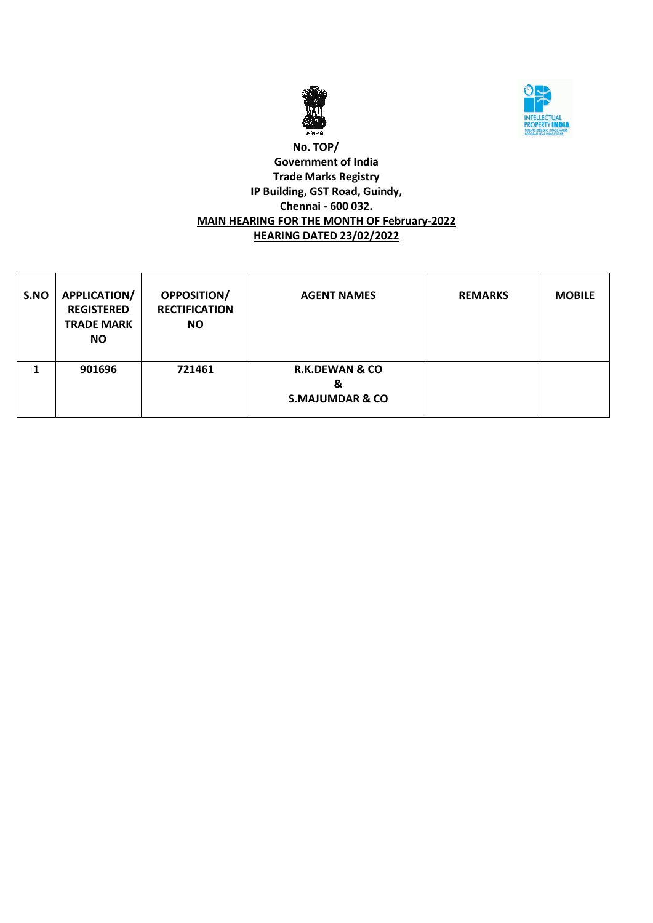



### **No. TOP/ Government of India Trade Marks Registry IP Building, GST Road, Guindy, Chennai - 600 032. MAIN HEARING FOR THE MONTH OF February-2022 HEARING DATED 23/02/2022**

| S.NO | <b>APPLICATION/</b><br><b>REGISTERED</b><br><b>TRADE MARK</b><br><b>NO</b> | <b>OPPOSITION/</b><br><b>RECTIFICATION</b><br><b>NO</b> | <b>AGENT NAMES</b>                                           | <b>REMARKS</b> | <b>MOBILE</b> |
|------|----------------------------------------------------------------------------|---------------------------------------------------------|--------------------------------------------------------------|----------------|---------------|
|      | 901696                                                                     | 721461                                                  | <b>R.K.DEWAN &amp; CO</b><br>&<br><b>S.MAJUMDAR &amp; CO</b> |                |               |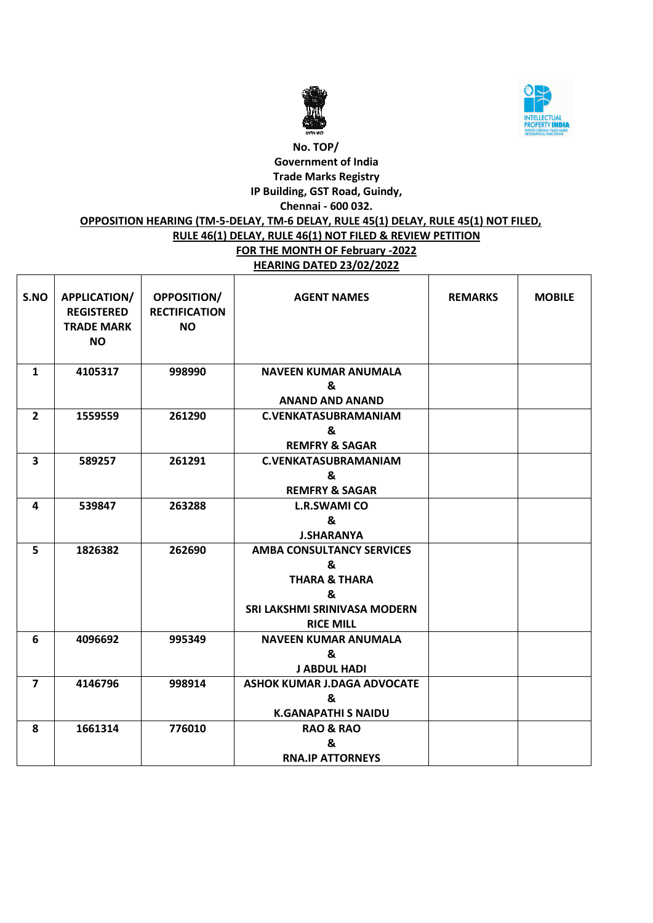



### **No. TOP/ Government of India Trade Marks Registry IP Building, GST Road, Guindy, Chennai - 600 032.**

## **OPPOSITION HEARING (TM-5-DELAY, TM-6 DELAY, RULE 45(1) DELAY, RULE 45(1) NOT FILED,**

# **RULE 46(1) DELAY, RULE 46(1) NOT FILED & REVIEW PETITION**

### **FOR THE MONTH OF February -2022 HEARING DATED 23/02/2022**

| S.NO                    | APPLICATION/<br><b>REGISTERED</b><br><b>TRADE MARK</b><br><b>NO</b> | <b>OPPOSITION/</b><br><b>RECTIFICATION</b><br><b>NO</b> | <b>AGENT NAMES</b>                                         | <b>REMARKS</b> | <b>MOBILE</b> |
|-------------------------|---------------------------------------------------------------------|---------------------------------------------------------|------------------------------------------------------------|----------------|---------------|
| $\mathbf{1}$            | 4105317                                                             | 998990                                                  | <b>NAVEEN KUMAR ANUMALA</b><br>&<br><b>ANAND AND ANAND</b> |                |               |
| $\overline{2}$          | 1559559                                                             | 261290                                                  | <b>C.VENKATASUBRAMANIAM</b>                                |                |               |
|                         |                                                                     |                                                         | &                                                          |                |               |
|                         |                                                                     |                                                         | <b>REMFRY &amp; SAGAR</b>                                  |                |               |
| $\overline{\mathbf{3}}$ | 589257                                                              | 261291                                                  | <b>C.VENKATASUBRAMANIAM</b>                                |                |               |
|                         |                                                                     |                                                         | &                                                          |                |               |
|                         |                                                                     |                                                         | <b>REMFRY &amp; SAGAR</b>                                  |                |               |
| 4                       |                                                                     | 263288                                                  |                                                            |                |               |
|                         | 539847                                                              |                                                         | <b>L.R.SWAMI CO</b><br>$\mathbf{z}$                        |                |               |
|                         |                                                                     |                                                         |                                                            |                |               |
|                         |                                                                     |                                                         | <b>J.SHARANYA</b>                                          |                |               |
| 5                       | 1826382                                                             | 262690                                                  | <b>AMBA CONSULTANCY SERVICES</b><br>&                      |                |               |
|                         |                                                                     |                                                         | <b>THARA &amp; THARA</b>                                   |                |               |
|                         |                                                                     |                                                         | &                                                          |                |               |
|                         |                                                                     |                                                         | SRI LAKSHMI SRINIVASA MODERN                               |                |               |
|                         |                                                                     |                                                         | <b>RICE MILL</b>                                           |                |               |
|                         | 4096692                                                             |                                                         | <b>NAVEEN KUMAR ANUMALA</b>                                |                |               |
| 6                       |                                                                     | 995349                                                  | &                                                          |                |               |
|                         |                                                                     |                                                         | <b>J ABDUL HADI</b>                                        |                |               |
| $\overline{7}$          | 4146796                                                             | 998914                                                  | <b>ASHOK KUMAR J.DAGA ADVOCATE</b>                         |                |               |
|                         |                                                                     |                                                         | &                                                          |                |               |
|                         |                                                                     |                                                         | <b>K.GANAPATHI S NAIDU</b>                                 |                |               |
| 8                       | 1661314                                                             | 776010                                                  | <b>RAO &amp; RAO</b>                                       |                |               |
|                         |                                                                     |                                                         | &                                                          |                |               |
|                         |                                                                     |                                                         | <b>RNA.IP ATTORNEYS</b>                                    |                |               |
|                         |                                                                     |                                                         |                                                            |                |               |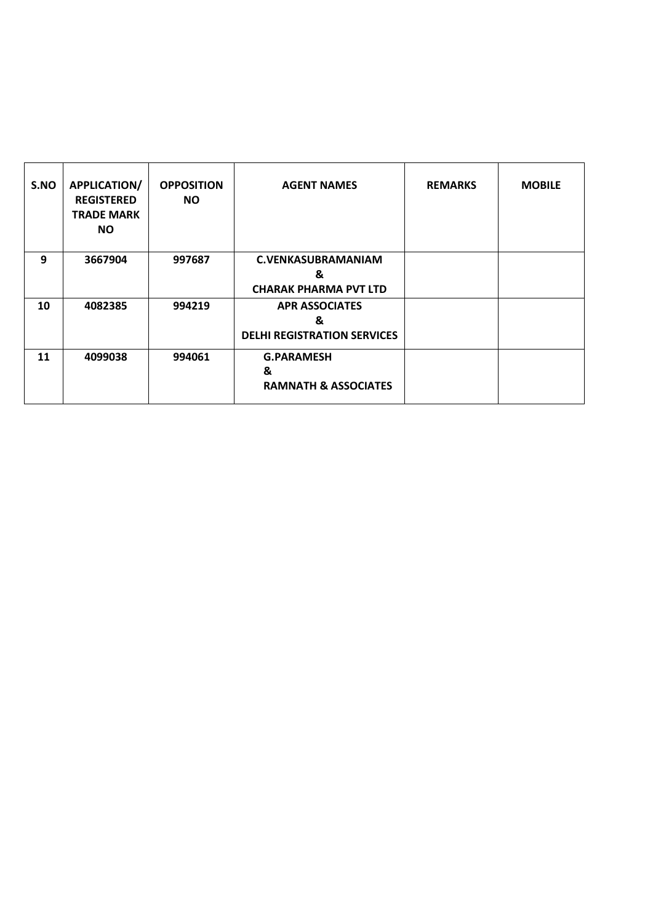| S.NO | <b>APPLICATION/</b><br><b>REGISTERED</b><br><b>TRADE MARK</b><br><b>NO</b> | <b>OPPOSITION</b><br><b>NO</b> | <b>AGENT NAMES</b>                                               | <b>REMARKS</b> | <b>MOBILE</b> |
|------|----------------------------------------------------------------------------|--------------------------------|------------------------------------------------------------------|----------------|---------------|
| 9    | 3667904                                                                    | 997687                         | <b>C.VENKASUBRAMANIAM</b><br>&<br><b>CHARAK PHARMA PVT LTD</b>   |                |               |
| 10   | 4082385                                                                    | 994219                         | <b>APR ASSOCIATES</b><br>&<br><b>DELHI REGISTRATION SERVICES</b> |                |               |
| 11   | 4099038                                                                    | 994061                         | <b>G.PARAMESH</b><br>&<br><b>RAMNATH &amp; ASSOCIATES</b>        |                |               |